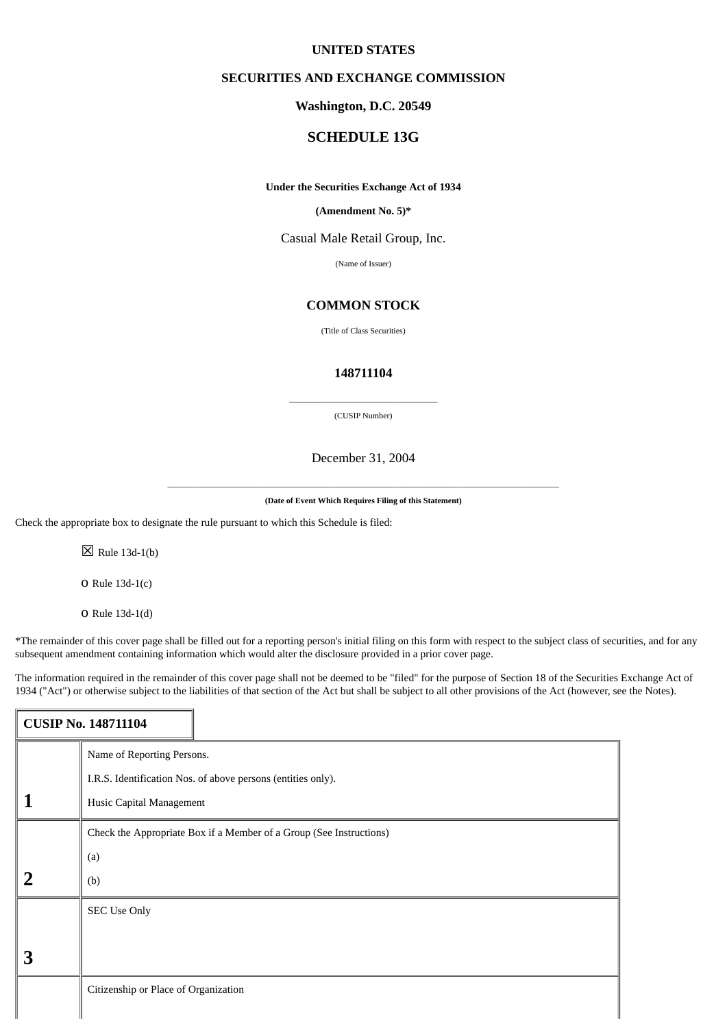# **UNITED STATES**

# **SECURITIES AND EXCHANGE COMMISSION**

# **Washington, D.C. 20549**

# **SCHEDULE 13G**

#### **Under the Securities Exchange Act of 1934**

### **(Amendment No. 5)\***

Casual Male Retail Group, Inc.

(Name of Issuer)

# **COMMON STOCK**

(Title of Class Securities)

# **148711104**

 $\overline{\phantom{a}}$  , and the set of the set of the set of the set of the set of the set of the set of the set of the set of the set of the set of the set of the set of the set of the set of the set of the set of the set of the s (CUSIP Number)

December 31, 2004

\_\_\_\_\_\_\_\_\_\_\_\_\_\_\_\_\_\_\_\_\_\_\_\_\_\_\_\_\_\_\_\_\_\_\_\_\_\_\_\_\_\_\_\_\_\_\_\_\_\_\_\_\_\_\_\_\_\_\_\_\_\_\_\_\_\_\_\_\_\_\_\_\_\_\_\_\_\_\_\_\_\_\_\_\_\_\_\_\_\_\_\_\_\_\_ **(Date of Event Which Requires Filing of this Statement)**

Check the appropriate box to designate the rule pursuant to which this Schedule is filed:

 $\boxtimes$  Rule 13d-1(b)

o Rule 13d-1(c)

o Rule 13d-1(d)

\*The remainder of this cover page shall be filled out for a reporting person's initial filing on this form with respect to the subject class of securities, and for any subsequent amendment containing information which would alter the disclosure provided in a prior cover page.

The information required in the remainder of this cover page shall not be deemed to be "filed" for the purpose of Section 18 of the Securities Exchange Act of 1934 ("Act") or otherwise subject to the liabilities of that section of the Act but shall be subject to all other provisions of the Act (however, see the Notes).

|                | <b>CUSIP No. 148711104</b>                                          |  |  |  |  |
|----------------|---------------------------------------------------------------------|--|--|--|--|
|                | Name of Reporting Persons.                                          |  |  |  |  |
|                | I.R.S. Identification Nos. of above persons (entities only).        |  |  |  |  |
|                | Husic Capital Management                                            |  |  |  |  |
|                | Check the Appropriate Box if a Member of a Group (See Instructions) |  |  |  |  |
|                | (a)                                                                 |  |  |  |  |
| $\overline{2}$ | (b)                                                                 |  |  |  |  |
|                | <b>SEC Use Only</b>                                                 |  |  |  |  |
|                |                                                                     |  |  |  |  |
| 3              |                                                                     |  |  |  |  |
|                | Citizenship or Place of Organization                                |  |  |  |  |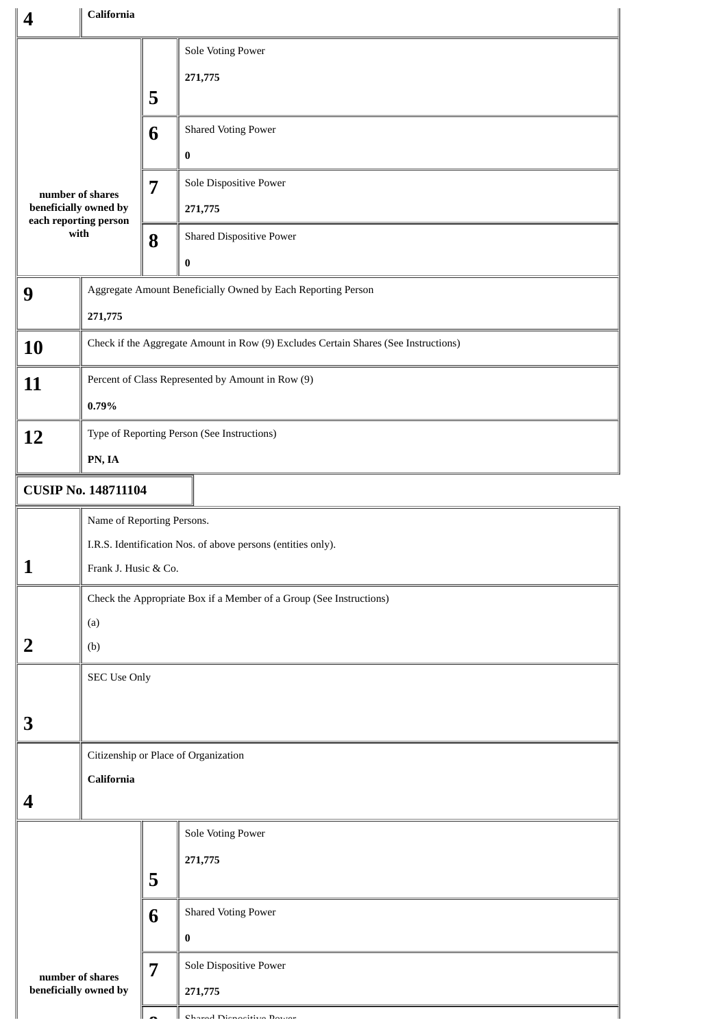| 4                                                                          |                                                                                     | California |                                                                     |  |  |  |  |
|----------------------------------------------------------------------------|-------------------------------------------------------------------------------------|------------|---------------------------------------------------------------------|--|--|--|--|
|                                                                            |                                                                                     | 5          | Sole Voting Power<br>271,775                                        |  |  |  |  |
|                                                                            |                                                                                     | 6          | <b>Shared Voting Power</b>                                          |  |  |  |  |
| number of shares<br>beneficially owned by<br>each reporting person<br>with |                                                                                     | 7          | 0<br>Sole Dispositive Power                                         |  |  |  |  |
|                                                                            |                                                                                     |            | 271,775                                                             |  |  |  |  |
|                                                                            |                                                                                     | 8          | <b>Shared Dispositive Power</b><br>0                                |  |  |  |  |
| 9                                                                          |                                                                                     |            | Aggregate Amount Beneficially Owned by Each Reporting Person        |  |  |  |  |
|                                                                            | 271,775                                                                             |            |                                                                     |  |  |  |  |
| 10                                                                         | Check if the Aggregate Amount in Row (9) Excludes Certain Shares (See Instructions) |            |                                                                     |  |  |  |  |
| 11                                                                         | Percent of Class Represented by Amount in Row (9)                                   |            |                                                                     |  |  |  |  |
|                                                                            | 0.79%                                                                               |            |                                                                     |  |  |  |  |
| 12                                                                         | Type of Reporting Person (See Instructions)                                         |            |                                                                     |  |  |  |  |
|                                                                            | PN, IA                                                                              |            |                                                                     |  |  |  |  |
| <b>CUSIP No. 148711104</b>                                                 |                                                                                     |            |                                                                     |  |  |  |  |
|                                                                            | Name of Reporting Persons.                                                          |            |                                                                     |  |  |  |  |
|                                                                            | I.R.S. Identification Nos. of above persons (entities only).                        |            |                                                                     |  |  |  |  |
| 1                                                                          | Frank J. Husic & Co.                                                                |            |                                                                     |  |  |  |  |
|                                                                            |                                                                                     |            | Check the Appropriate Box if a Member of a Group (See Instructions) |  |  |  |  |
|                                                                            | (a)                                                                                 |            |                                                                     |  |  |  |  |
| $\overline{2}$                                                             | (b)                                                                                 |            |                                                                     |  |  |  |  |
|                                                                            | SEC Use Only                                                                        |            |                                                                     |  |  |  |  |
| 3                                                                          |                                                                                     |            |                                                                     |  |  |  |  |
|                                                                            |                                                                                     |            | Citizenship or Place of Organization                                |  |  |  |  |
| <b>California</b>                                                          |                                                                                     |            |                                                                     |  |  |  |  |
| 4                                                                          |                                                                                     |            |                                                                     |  |  |  |  |
|                                                                            |                                                                                     |            | Sole Voting Power                                                   |  |  |  |  |
|                                                                            |                                                                                     |            | 271,775                                                             |  |  |  |  |
|                                                                            |                                                                                     | 5          |                                                                     |  |  |  |  |
|                                                                            |                                                                                     | 6          | <b>Shared Voting Power</b>                                          |  |  |  |  |
|                                                                            |                                                                                     |            | 0                                                                   |  |  |  |  |
| 7<br>number of shares                                                      |                                                                                     |            | Sole Dispositive Power                                              |  |  |  |  |
|                                                                            | beneficially owned by                                                               |            | 271,775                                                             |  |  |  |  |
|                                                                            |                                                                                     |            | Chanad Dianasitiva Davann                                           |  |  |  |  |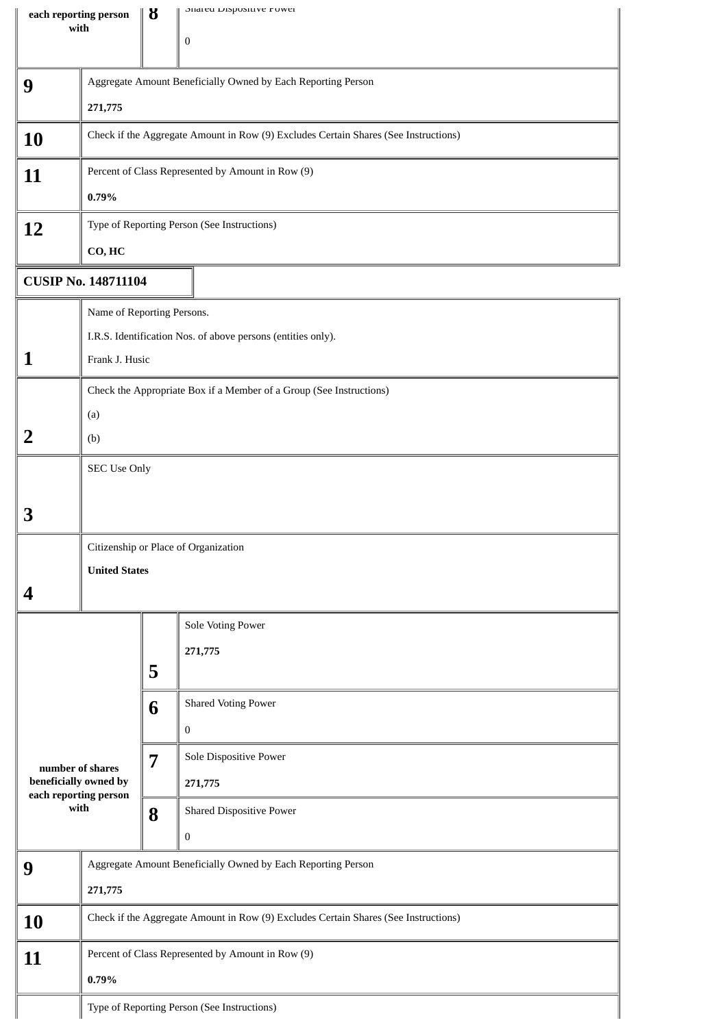| each reporting person                          |                                                                                     | ზ                                                                                   | onarea Dispositive Fower        |  |  |  |  |
|------------------------------------------------|-------------------------------------------------------------------------------------|-------------------------------------------------------------------------------------|---------------------------------|--|--|--|--|
| with                                           |                                                                                     |                                                                                     | $\bf{0}$                        |  |  |  |  |
|                                                |                                                                                     |                                                                                     |                                 |  |  |  |  |
| 9                                              | Aggregate Amount Beneficially Owned by Each Reporting Person                        |                                                                                     |                                 |  |  |  |  |
|                                                | 271,775                                                                             |                                                                                     |                                 |  |  |  |  |
| 10                                             |                                                                                     | Check if the Aggregate Amount in Row (9) Excludes Certain Shares (See Instructions) |                                 |  |  |  |  |
| 11                                             | Percent of Class Represented by Amount in Row (9)                                   |                                                                                     |                                 |  |  |  |  |
|                                                | 0.79%                                                                               |                                                                                     |                                 |  |  |  |  |
| 12                                             | Type of Reporting Person (See Instructions)                                         |                                                                                     |                                 |  |  |  |  |
|                                                | CO, HC                                                                              |                                                                                     |                                 |  |  |  |  |
| <b>CUSIP No. 148711104</b>                     |                                                                                     |                                                                                     |                                 |  |  |  |  |
|                                                | Name of Reporting Persons.                                                          |                                                                                     |                                 |  |  |  |  |
|                                                | I.R.S. Identification Nos. of above persons (entities only).                        |                                                                                     |                                 |  |  |  |  |
| 1                                              | Frank J. Husic                                                                      |                                                                                     |                                 |  |  |  |  |
|                                                |                                                                                     | Check the Appropriate Box if a Member of a Group (See Instructions)                 |                                 |  |  |  |  |
|                                                | (a)                                                                                 |                                                                                     |                                 |  |  |  |  |
| 2                                              | (b)                                                                                 |                                                                                     |                                 |  |  |  |  |
|                                                | <b>SEC Use Only</b>                                                                 |                                                                                     |                                 |  |  |  |  |
|                                                |                                                                                     |                                                                                     |                                 |  |  |  |  |
| 3                                              |                                                                                     |                                                                                     |                                 |  |  |  |  |
|                                                | Citizenship or Place of Organization                                                |                                                                                     |                                 |  |  |  |  |
|                                                | <b>United States</b>                                                                |                                                                                     |                                 |  |  |  |  |
| 4                                              |                                                                                     |                                                                                     |                                 |  |  |  |  |
|                                                |                                                                                     |                                                                                     | Sole Voting Power               |  |  |  |  |
|                                                |                                                                                     |                                                                                     | 271,775                         |  |  |  |  |
|                                                |                                                                                     | 5                                                                                   |                                 |  |  |  |  |
|                                                |                                                                                     | 6                                                                                   | <b>Shared Voting Power</b>      |  |  |  |  |
|                                                |                                                                                     |                                                                                     | $\bf{0}$                        |  |  |  |  |
| number of shares                               |                                                                                     | $\overline{7}$                                                                      | Sole Dispositive Power          |  |  |  |  |
| beneficially owned by<br>each reporting person |                                                                                     |                                                                                     | 271,775                         |  |  |  |  |
| with                                           |                                                                                     | 8                                                                                   | <b>Shared Dispositive Power</b> |  |  |  |  |
|                                                |                                                                                     |                                                                                     | $\boldsymbol{0}$                |  |  |  |  |
| 9                                              | Aggregate Amount Beneficially Owned by Each Reporting Person                        |                                                                                     |                                 |  |  |  |  |
|                                                |                                                                                     |                                                                                     |                                 |  |  |  |  |
| 10                                             | Check if the Aggregate Amount in Row (9) Excludes Certain Shares (See Instructions) |                                                                                     |                                 |  |  |  |  |
| 11                                             | Percent of Class Represented by Amount in Row (9)                                   |                                                                                     |                                 |  |  |  |  |
|                                                | 0.79%                                                                               |                                                                                     |                                 |  |  |  |  |
|                                                | Type of Reporting Person (See Instructions)                                         |                                                                                     |                                 |  |  |  |  |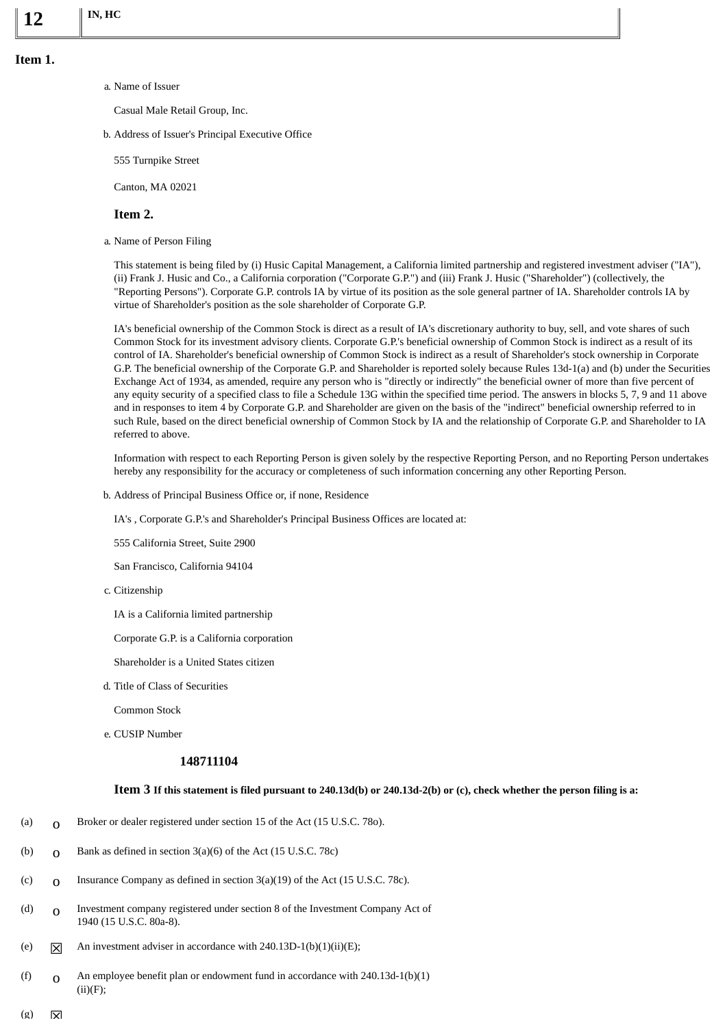a. Name of Issuer

Casual Male Retail Group, Inc.

b. Address of Issuer's Principal Executive Office

555 Turnpike Street

Canton, MA 02021

# **Item 2.**

a. Name of Person Filing

This statement is being filed by (i) Husic Capital Management, a California limited partnership and registered investment adviser ("IA"), (ii) Frank J. Husic and Co., a California corporation ("Corporate G.P.") and (iii) Frank J. Husic ("Shareholder") (collectively, the "Reporting Persons"). Corporate G.P. controls IA by virtue of its position as the sole general partner of IA. Shareholder controls IA by virtue of Shareholder's position as the sole shareholder of Corporate G.P.

IA's beneficial ownership of the Common Stock is direct as a result of IA's discretionary authority to buy, sell, and vote shares of such Common Stock for its investment advisory clients. Corporate G.P.'s beneficial ownership of Common Stock is indirect as a result of its control of IA. Shareholder's beneficial ownership of Common Stock is indirect as a result of Shareholder's stock ownership in Corporate G.P. The beneficial ownership of the Corporate G.P. and Shareholder is reported solely because Rules 13d-1(a) and (b) under the Securities Exchange Act of 1934, as amended, require any person who is "directly or indirectly" the beneficial owner of more than five percent of any equity security of a specified class to file a Schedule 13G within the specified time period. The answers in blocks 5, 7, 9 and 11 above and in responses to item 4 by Corporate G.P. and Shareholder are given on the basis of the "indirect" beneficial ownership referred to in such Rule, based on the direct beneficial ownership of Common Stock by IA and the relationship of Corporate G.P. and Shareholder to IA referred to above.

Information with respect to each Reporting Person is given solely by the respective Reporting Person, and no Reporting Person undertakes hereby any responsibility for the accuracy or completeness of such information concerning any other Reporting Person.

b. Address of Principal Business Office or, if none, Residence

IA's , Corporate G.P.'s and Shareholder's Principal Business Offices are located at:

555 California Street, Suite 2900

San Francisco, California 94104

c. Citizenship

IA is a California limited partnership

Corporate G.P. is a California corporation

Shareholder is a United States citizen

d. Title of Class of Securities

Common Stock

e. CUSIP Number

# **148711104**

# **Item 3 If this statement is filed pursuant to 240.13d(b) or 240.13d-2(b) or (c), check whether the person filing is a:**

- (a)  $\sigma$  Broker or dealer registered under section 15 of the Act (15 U.S.C. 780).
- (b)  $\alpha$  Bank as defined in section 3(a)(6) of the Act (15 U.S.C. 78c)
- (c)  $\alpha$  Insurance Company as defined in section 3(a)(19) of the Act (15 U.S.C. 78c).
- (d) o Investment company registered under section 8 of the Investment Company Act of 1940 (15 U.S.C. 80a-8).
- (e)  $\overline{X}$  An investment adviser in accordance with 240.13D-1(b)(1)(ii)(E);
- (f)  $\alpha$  An employee benefit plan or endowment fund in accordance with 240.13d-1(b)(1)  $(ii)(F);$
- $(g)$   $\nabla$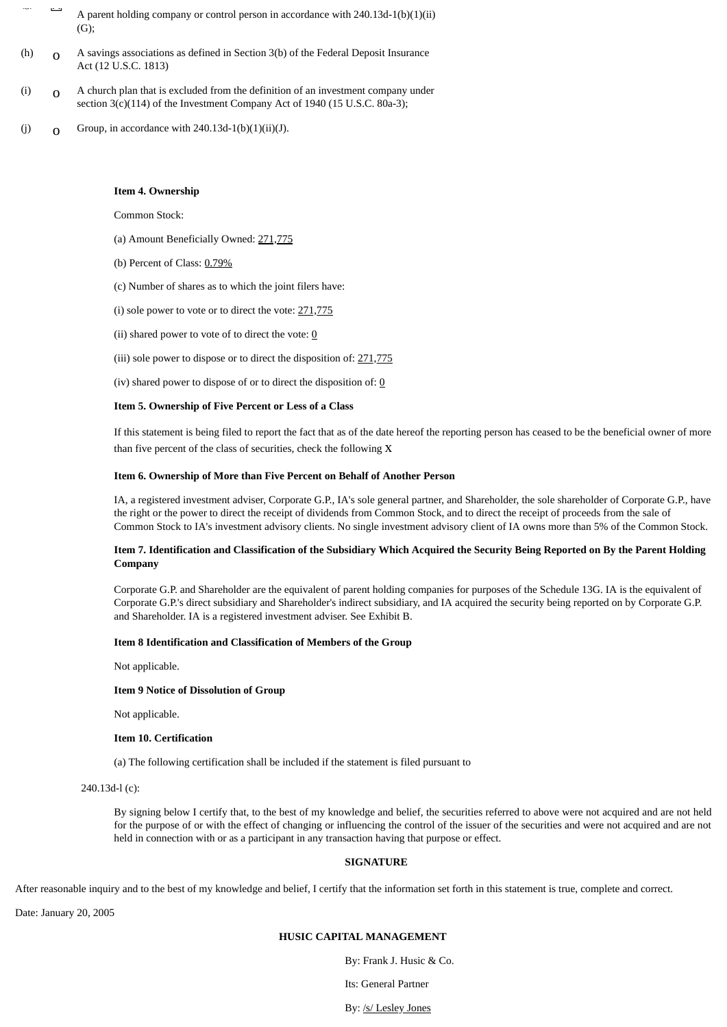- $\overline{a}$  A parent holding company or control person in accordance with 240.13d-1(b)(1)(ii) (G);
- (h)  $\alpha$  A savings associations as defined in Section 3(b) of the Federal Deposit Insurance Act (12 U.S.C. 1813)
- (i)  $\sigma$  A church plan that is excluded from the definition of an investment company under section 3(c)(114) of the Investment Company Act of 1940 (15 U.S.C. 80a-3);
- (j)  $\qquad \qquad$  Group, in accordance with 240.13d-1(b)(1)(ii)(J).

### **Item 4. Ownership**

Common Stock:

- (a) Amount Beneficially Owned: 271,775
- (b) Percent of Class: 0.79%
- (c) Number of shares as to which the joint filers have:
- (i) sole power to vote or to direct the vote:  $271,775$
- (ii) shared power to vote of to direct the vote:  $\underline{0}$
- (iii) sole power to dispose or to direct the disposition of: 271,775

(iv) shared power to dispose of or to direct the disposition of:  $\underline{0}$ 

### **Item 5. Ownership of Five Percent or Less of a Class**

If this statement is being filed to report the fact that as of the date hereof the reporting person has ceased to be the beneficial owner of more than five percent of the class of securities, check the following x

### **Item 6. Ownership of More than Five Percent on Behalf of Another Person**

IA, a registered investment adviser, Corporate G.P., IA's sole general partner, and Shareholder, the sole shareholder of Corporate G.P., have the right or the power to direct the receipt of dividends from Common Stock, and to direct the receipt of proceeds from the sale of Common Stock to IA's investment advisory clients. No single investment advisory client of IA owns more than 5% of the Common Stock.

# **Item 7. Identification and Classification of the Subsidiary Which Acquired the Security Being Reported on By the Parent Holding Company**

Corporate G.P. and Shareholder are the equivalent of parent holding companies for purposes of the Schedule 13G. IA is the equivalent of Corporate G.P.'s direct subsidiary and Shareholder's indirect subsidiary, and IA acquired the security being reported on by Corporate G.P. and Shareholder. IA is a registered investment adviser. See Exhibit B.

#### **Item 8 Identification and Classification of Members of the Group**

Not applicable.

#### **Item 9 Notice of Dissolution of Group**

Not applicable.

#### **Item 10. Certification**

(a) The following certification shall be included if the statement is filed pursuant to

240.13d-l (c):

By signing below I certify that, to the best of my knowledge and belief, the securities referred to above were not acquired and are not held for the purpose of or with the effect of changing or influencing the control of the issuer of the securities and were not acquired and are not held in connection with or as a participant in any transaction having that purpose or effect.

# **SIGNATURE**

After reasonable inquiry and to the best of my knowledge and belief, I certify that the information set forth in this statement is true, complete and correct.

Date: January 20, 2005

# **HUSIC CAPITAL MANAGEMENT**

By: Frank J. Husic & Co.

Its: General Partner

By: /s/ Lesley Jones